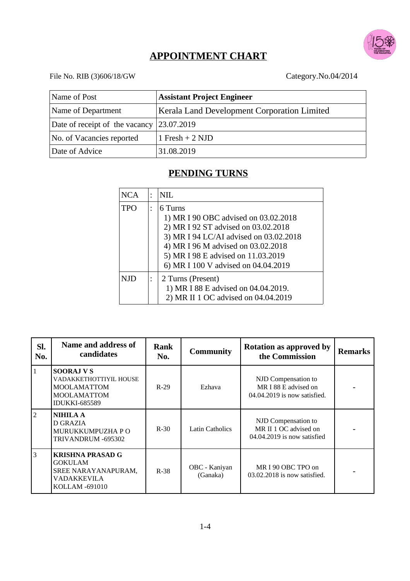

## **APPOINTMENT CHART**

# File No. RIB (3)606/18/GW Category.No.04/2014

| Name of Post                                        | <b>Assistant Project Engineer</b>                  |
|-----------------------------------------------------|----------------------------------------------------|
| Name of Department                                  | <b>Kerala Land Development Corporation Limited</b> |
| Date of receipt of the vacancy $ 23.07.2019\rangle$ |                                                    |
| No. of Vacancies reported                           | 1 Fresh + 2 NJD                                    |
| Date of Advice                                      | 31.08.2019                                         |

## **PENDING TURNS**

| <b>NCA</b>               | $\bullet$ | NIL.                                                                                                                                                                                                                                                |
|--------------------------|-----------|-----------------------------------------------------------------------------------------------------------------------------------------------------------------------------------------------------------------------------------------------------|
| <b>TPO</b>               |           | 6 Turns<br>1) MR I 90 OBC advised on 03.02.2018<br>2) MR I 92 ST advised on 03.02.2018<br>3) MR I 94 LC/AI advised on 03.02.2018<br>4) MR I 96 M advised on 03.02.2018<br>5) MR I 98 E advised on 11.03.2019<br>6) MR I 100 V advised on 04.04.2019 |
| 2 Turns (Present)<br>NJD |           | 1) MR I 88 E advised on 04.04.2019.<br>2) MR II 1 OC advised on 04.04.2019                                                                                                                                                                          |

| SI.<br>No.     | Name and address of<br>candidates                                                                               | Rank<br>No. | <b>Community</b>          | <b>Rotation as approved by</b><br>the Commission                            | <b>Remarks</b> |
|----------------|-----------------------------------------------------------------------------------------------------------------|-------------|---------------------------|-----------------------------------------------------------------------------|----------------|
| $\mathbf{1}$   | <b>SOORAJ V S</b><br>VADAKKETHOTTIYIL HOUSE<br><b>MOOLAMATTOM</b><br><b>MOOLAMATTOM</b><br><b>IDUKKI-685589</b> | $R-29$      | Ezhava                    | NJD Compensation to<br>MR I 88 E advised on<br>04.04.2019 is now satisfied. |                |
| $\overline{2}$ | <b>NIHILA A</b><br>D GRAZIA<br>MURUKKUMPUZHA P O<br>TRIVANDRUM -695302                                          | $R-30$      | <b>Latin Catholics</b>    | NJD Compensation to<br>MR II 1 OC advised on<br>04.04.2019 is now satisfied |                |
| 3              | <b>KRISHNA PRASAD G</b><br>GOKULAM<br>SREE NARAYANAPURAM,<br>VADAKKEVILA<br>KOLLAM -691010                      | $R-38$      | OBC - Kaniyan<br>(Ganaka) | MRI90 OBC TPO on<br>$03.02.2018$ is now satisfied.                          |                |